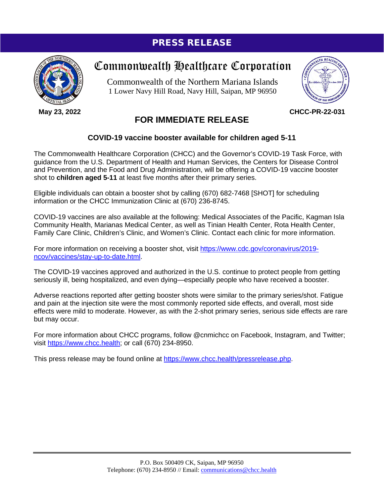## PRESS RELEASE



**May 23, 2022**

# Commonwealth Healthcare Corporation

Commonwealth of the Northern Mariana Islands 1 Lower Navy Hill Road, Navy Hill, Saipan, MP 96950



**CHCC-PR-22-031**

### **FOR IMMEDIATE RELEASE**

### **COVID-19 vaccine booster available for children aged 5-11**

The Commonwealth Healthcare Corporation (CHCC) and the Governor's COVID-19 Task Force, with guidance from the U.S. Department of Health and Human Services, the Centers for Disease Control and Prevention, and the Food and Drug Administration, will be offering a COVID-19 vaccine booster shot to **children aged 5-11** at least five months after their primary series.

Eligible individuals can obtain a booster shot by calling (670) 682-7468 [SHOT] for scheduling information or the CHCC Immunization Clinic at (670) 236-8745.

COVID-19 vaccines are also available at the following: Medical Associates of the Pacific, Kagman Isla Community Health, Marianas Medical Center, as well as Tinian Health Center, Rota Health Center, Family Care Clinic, Children's Clinic, and Women's Clinic. Contact each clinic for more information.

For more information on receiving a booster shot, visit [https://www.cdc.gov/coronavirus/2019](https://www.cdc.gov/coronavirus/2019-ncov/vaccines/stay-up-to-date.html) [ncov/vaccines/stay-up-to-date.html.](https://www.cdc.gov/coronavirus/2019-ncov/vaccines/stay-up-to-date.html)

The COVID-19 vaccines approved and authorized in the U.S. continue to protect people from getting seriously ill, being hospitalized, and even dying—especially people who have received a booster.

Adverse reactions reported after getting booster shots were similar to the primary series/shot. Fatigue and pain at the injection site were the most commonly reported side effects, and overall, most side effects were mild to moderate. However, as with the 2-shot primary series, serious side effects are rare but may occur.

For more information about CHCC programs, follow @cnmichcc on Facebook, Instagram, and Twitter; visit [https://www.chcc.health;](https://www.chcc.health/) or call (670) 234-8950.

This press release may be found online at [https://www.chcc.health/pressrelease.php.](https://www.chcc.health/pressrelease.php)